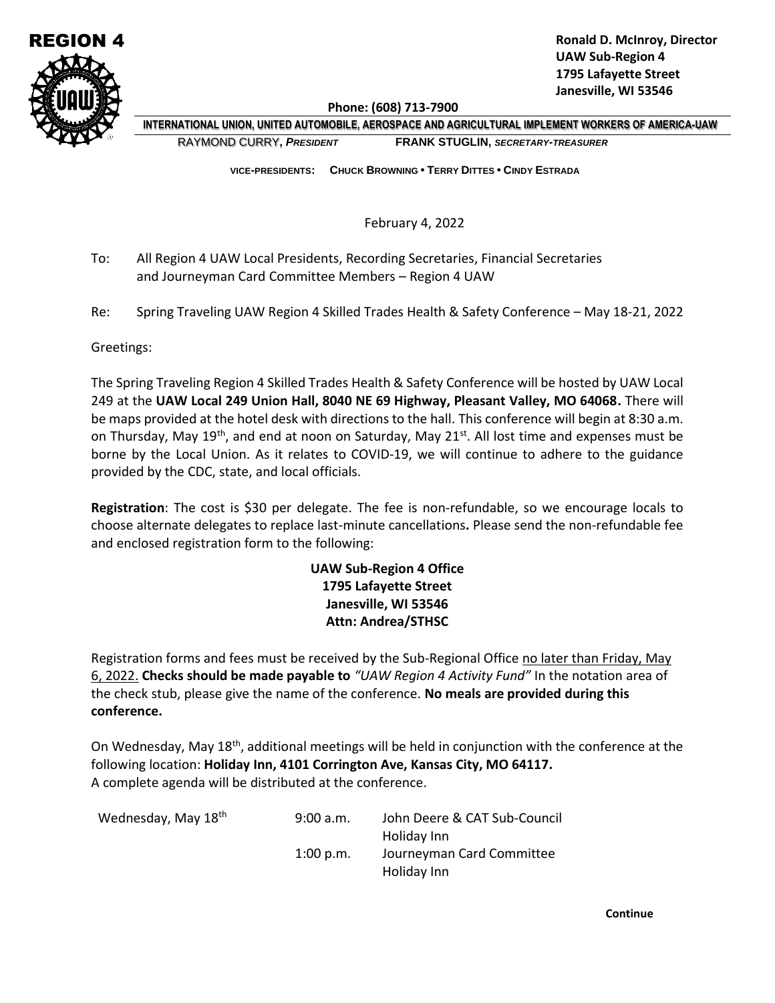

**Phone: (608) 713-7900**

 **INTERNATIONAL UNION, UNITED AUTOMOBILE, AEROSPACE AND AGRICULTURAL IMPLEMENT WORKERS OF AMERICA-UAW** RAYMOND CURRY**,** *PRESIDENT* **FRANK STUGLIN,** *SECRETARY-TREASURER*

 **VICE-PRESIDENTS: CHUCK BROWNING • TERRY DITTES • CINDY ESTRADA**

February 4, 2022

- To: All Region 4 UAW Local Presidents, Recording Secretaries, Financial Secretaries and Journeyman Card Committee Members – Region 4 UAW
- Re: Spring Traveling UAW Region 4 Skilled Trades Health & Safety Conference May 18-21, 2022

Greetings:

The Spring Traveling Region 4 Skilled Trades Health & Safety Conference will be hosted by UAW Local 249 at the **UAW Local 249 Union Hall, 8040 NE 69 Highway, Pleasant Valley, MO 64068.** There will be maps provided at the hotel desk with directions to the hall. This conference will begin at 8:30 a.m. on Thursday, May  $19^{th}$ , and end at noon on Saturday, May  $21^{st}$ . All lost time and expenses must be borne by the Local Union. As it relates to COVID-19, we will continue to adhere to the guidance provided by the CDC, state, and local officials.

**Registration**: The cost is \$30 per delegate. The fee is non-refundable, so we encourage locals to choose alternate delegates to replace last-minute cancellations**.** Please send the non-refundable fee and enclosed registration form to the following:

## **UAW Sub-Region 4 Office 1795 Lafayette Street Janesville, WI 53546 Attn: Andrea/STHSC**

Registration forms and fees must be received by the Sub-Regional Office no later than Friday, May 6, 2022. **Checks should be made payable to** *"UAW Region 4 Activity Fund"* In the notation area of the check stub, please give the name of the conference. **No meals are provided during this conference.**

On Wednesday, May 18th, additional meetings will be held in conjunction with the conference at the following location: **Holiday Inn, 4101 Corrington Ave, Kansas City, MO 64117.** A complete agenda will be distributed at the conference.

| Wednesday, May 18th | 9:00 a.m.   | John Deere & CAT Sub-Council |
|---------------------|-------------|------------------------------|
|                     |             | Holiday Inn                  |
|                     | $1:00$ p.m. | Journeyman Card Committee    |
|                     |             | Holiday Inn                  |

**Continue**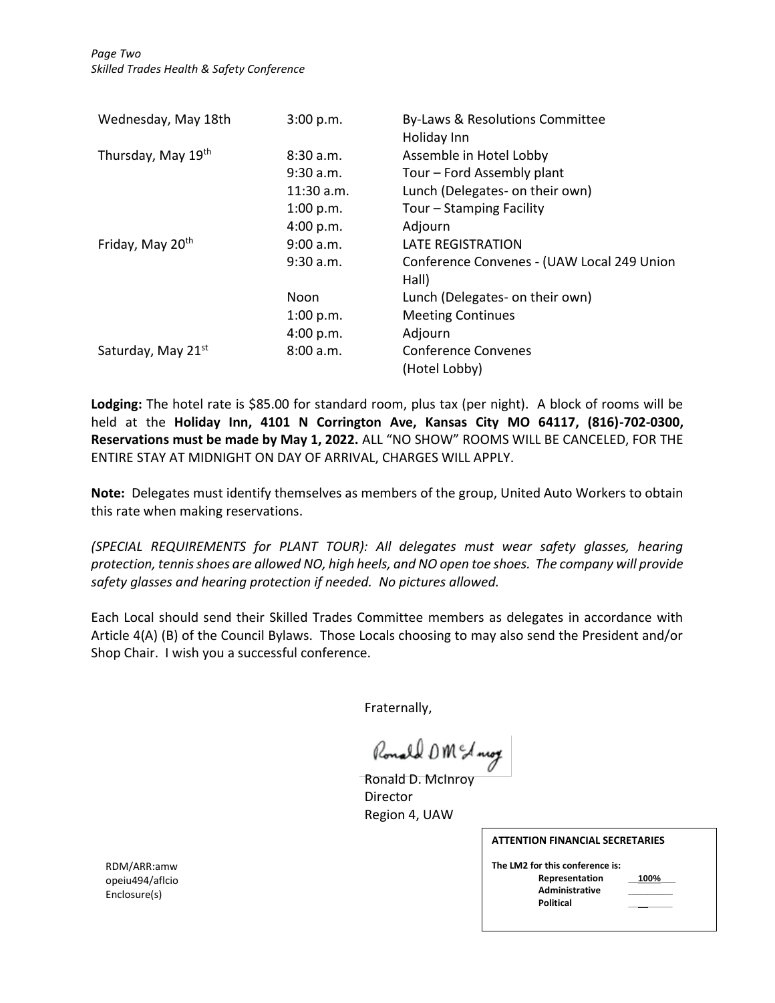| Wednesday, May 18th          | 3:00 p.m.  | By-Laws & Resolutions Committee<br>Holiday Inn |
|------------------------------|------------|------------------------------------------------|
| Thursday, May 19th           | 8:30 a.m.  | Assemble in Hotel Lobby                        |
|                              | 9:30 a.m.  | Tour - Ford Assembly plant                     |
|                              | 11:30 a.m. | Lunch (Delegates- on their own)                |
|                              | 1:00 p.m.  | Tour – Stamping Facility                       |
|                              | 4:00 p.m.  | Adjourn                                        |
| Friday, May 20 <sup>th</sup> | 9:00 a.m.  | <b>LATE REGISTRATION</b>                       |
|                              | 9:30 a.m.  | Conference Convenes - (UAW Local 249 Union     |
|                              |            | Hall)                                          |
|                              | Noon       | Lunch (Delegates- on their own)                |
|                              | 1:00 p.m.  | <b>Meeting Continues</b>                       |
|                              | 4:00 p.m.  | Adjourn                                        |
| Saturday, May 21st           | 8:00 a.m.  | <b>Conference Convenes</b>                     |
|                              |            | (Hotel Lobby)                                  |

**Lodging:** The hotel rate is \$85.00 for standard room, plus tax (per night). A block of rooms will be held at the **Holiday Inn, 4101 N Corrington Ave, Kansas City MO 64117, (816)-702-0300, Reservations must be made by May 1, 2022.** ALL "NO SHOW" ROOMS WILL BE CANCELED, FOR THE ENTIRE STAY AT MIDNIGHT ON DAY OF ARRIVAL, CHARGES WILL APPLY.

**Note:** Delegates must identify themselves as members of the group, United Auto Workers to obtain this rate when making reservations.

*(SPECIAL REQUIREMENTS for PLANT TOUR): All delegates must wear safety glasses, hearing protection, tennis shoes are allowed NO, high heels, and NO open toe shoes. The company will provide safety glasses and hearing protection if needed. No pictures allowed.*

Each Local should send their Skilled Trades Committee members as delegates in accordance with Article 4(A) (B) of the Council Bylaws. Those Locals choosing to may also send the President and/or Shop Chair. I wish you a successful conference.

Fraternally,

Ronald DM & nog

Ronald D. McInroy Director Region 4, UAW

**The LM2 for this conference is: Representation \_\_100%\_\_\_ Administrative \_\_\_\_\_\_\_\_\_ Political \_\_\_\_\_\_\_\_\_**

| 100% |  |
|------|--|
|      |  |
|      |  |

RDM/ARR:amw opeiu494/aflcio Enclosure(s)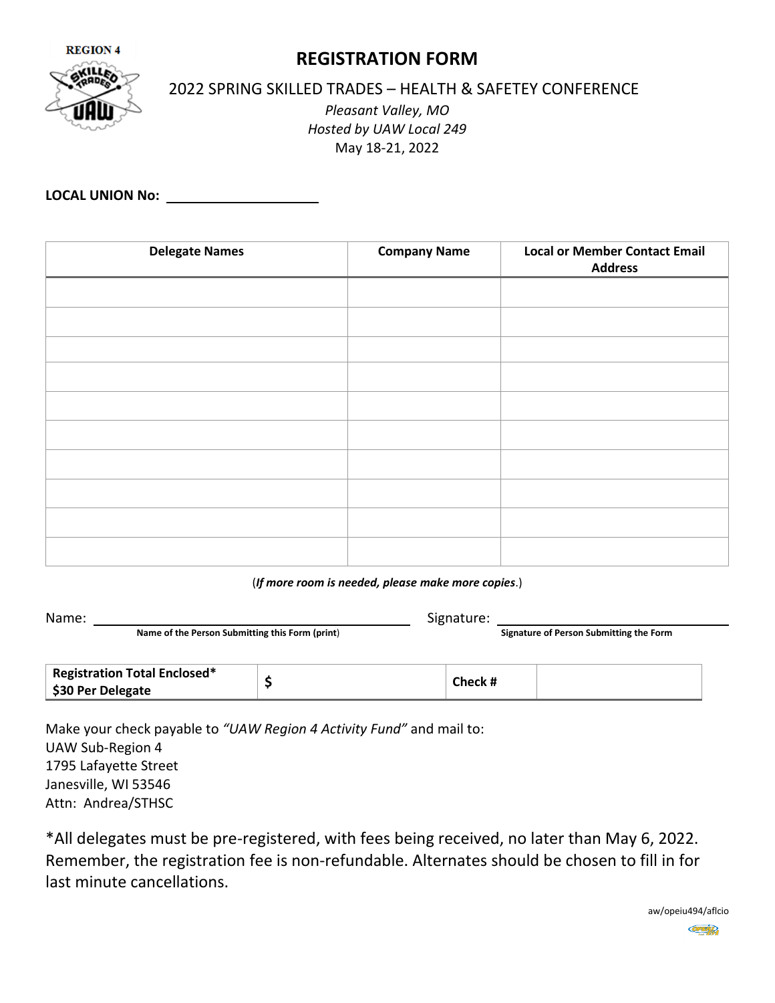

## **REGISTRATION FORM**

2022 SPRING SKILLED TRADES – HEALTH & SAFETEY CONFERENCE

*Pleasant Valley, MO Hosted by UAW Local 249* May 18-21, 2022

**LOCAL UNION No:** 

| <b>Delegate Names</b> | <b>Company Name</b> | <b>Local or Member Contact Email</b><br><b>Address</b> |
|-----------------------|---------------------|--------------------------------------------------------|
|                       |                     |                                                        |
|                       |                     |                                                        |
|                       |                     |                                                        |
|                       |                     |                                                        |
|                       |                     |                                                        |
|                       |                     |                                                        |
|                       |                     |                                                        |
|                       |                     |                                                        |
|                       |                     |                                                        |
|                       |                     |                                                        |

(*If more room is needed, please make more copies*.)

| Name:                                           |                                     | Signature: |     |                                         |  |  |
|-------------------------------------------------|-------------------------------------|------------|-----|-----------------------------------------|--|--|
| Name of the Person Submitting this Form (print) |                                     |            |     | Signature of Person Submitting the Form |  |  |
|                                                 |                                     |            |     |                                         |  |  |
|                                                 | <b>Registration Total Enclosed*</b> |            | --- |                                         |  |  |

| <b>Registration Total Enclosed*</b> | Check |  |
|-------------------------------------|-------|--|
| \$30 Per Delegate                   |       |  |
|                                     |       |  |

Make your check payable to *"UAW Region 4 Activity Fund"* and mail to: UAW Sub-Region 4 1795 Lafayette Street Janesville, WI 53546 Attn: Andrea/STHSC

\*All delegates must be pre-registered, with fees being received, no later than May 6, 2022. Remember, the registration fee is non-refundable. Alternates should be chosen to fill in for last minute cancellations.

> aw/opeiu494/aflcio **OPHIP**